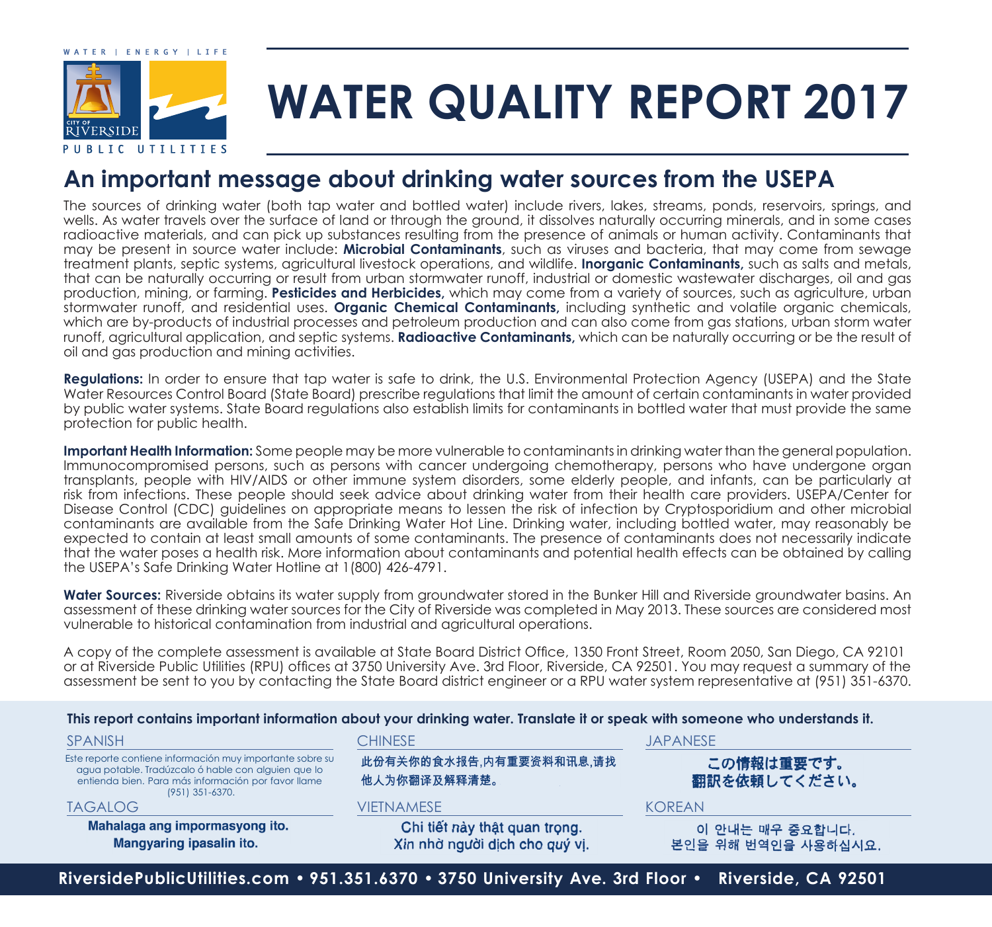

# **WATER QUALITY REPORT 2017**

### **An important message about drinking water sources from the USEPA**

The sources of drinking water (both tap water and bottled water) include rivers, lakes, streams, ponds, reservoirs, springs, and wells. As water travels over the surface of land or through the ground, it dissolves naturally occurring minerals, and in some cases radioactive materials, and can pick up substances resulting from the presence of animals or human activity. Contaminants that may be present in source water include: **Microbial Contaminants**, such as viruses and bacteria, that may come from sewage treatment plants, septic systems, agricultural livestock operations, and wildlife. **Inorganic Contaminants,** such as salts and metals, that can be naturally occurring or result from urban stormwater runoff, industrial or domestic wastewater discharges, oil and gas production, mining, or farming. **Pesticides and Herbicides,** which may come from a variety of sources, such as agriculture, urban stormwater runoff, and residential uses. **Organic Chemical Contaminants,** including synthetic and volatile organic chemicals, which are by-products of industrial processes and petroleum production and can also come from gas stations, urban storm water runoff, agricultural application, and septic systems. **Radioactive Contaminants,** which can be naturally occurring or be the result of oil and gas production and mining activities.

**Regulations:** In order to ensure that tap water is safe to drink, the U.S. Environmental Protection Agency (USEPA) and the State Water Resources Control Board (State Board) prescribe regulations that limit the amount of certain contaminants in water provided by public water systems. State Board regulations also establish limits for contaminants in bottled water that must provide the same protection for public health.

**Important Health Information:** Some people may be more vulnerable to contaminants in drinking water than the general population. Immunocompromised persons, such as persons with cancer undergoing chemotherapy, persons who have undergone organ transplants, people with HIV/AIDS or other immune system disorders, some elderly people, and infants, can be particularly at risk from infections. These people should seek advice about drinking water from their health care providers. USEPA/Center for Disease Control (CDC) guidelines on appropriate means to lessen the risk of infection by Cryptosporidium and other microbial contaminants are available from the Safe Drinking Water Hot Line. Drinking water, including bottled water, may reasonably be expected to contain at least small amounts of some contaminants. The presence of contaminants does not necessarily indicate that the water poses a health risk. More information about contaminants and potential health effects can be obtained by calling the USEPA's Safe Drinking Water Hotline at 1(800) 426-4791.

Water Sources: Riverside obtains its water supply from groundwater stored in the Bunker Hill and Riverside groundwater basins. An assessment of these drinking water sources for the City of Riverside was completed in May 2013. These sources are considered most vulnerable to historical contamination from industrial and agricultural operations.

A copy of the complete assessment is available at State Board District Office, 1350 Front Street, Room 2050, San Diego, CA 92101 or at Riverside Public Utilities (RPU) offices at 3750 University Ave. 3rd Floor, Riverside, CA 92501. You may request a summary of the assessment be sent to you by contacting the State Board district engineer or a RPU water system representative at (951) 351-6370.

#### **This report contains important information about your drinking water. Translate it or speak with someone who understands it.**

| <b>SPANISH</b>                                                                                                                                                                             | <b>CHINESE</b>                                                  | <b>JAPANESE</b>                        |  |  |
|--------------------------------------------------------------------------------------------------------------------------------------------------------------------------------------------|-----------------------------------------------------------------|----------------------------------------|--|--|
| Este reporte contiene información muy importante sobre su<br>agua potable. Tradúzcalo ó hable con alguien que lo<br>entienda bien. Para más información por favor llame<br>(951) 351-6370. | 此份有关你的食水报告,内有重要资料和讯息,请找<br>他人为你翻译及解释清楚。                         | この情報は重要です。<br>翻訳を依頼してください。             |  |  |
| <b>TAGALOG</b>                                                                                                                                                                             | VIETNAMESE                                                      | KORFAN                                 |  |  |
| Mahalaga ang impormasyong ito.<br>Mangyaring ipasalin ito.                                                                                                                                 | Chi tiết này thật quan trọng.<br>Xin nhờ người dịch cho quý vị. | 이 안내는 매우 중요합니다.<br>본인을 위해 번역인을 사용하십시요. |  |  |

**RiversidePublicUtilities.com • 951.351.6370 • 3750 University Ave. 3rd Floor • Riverside, CA 92501**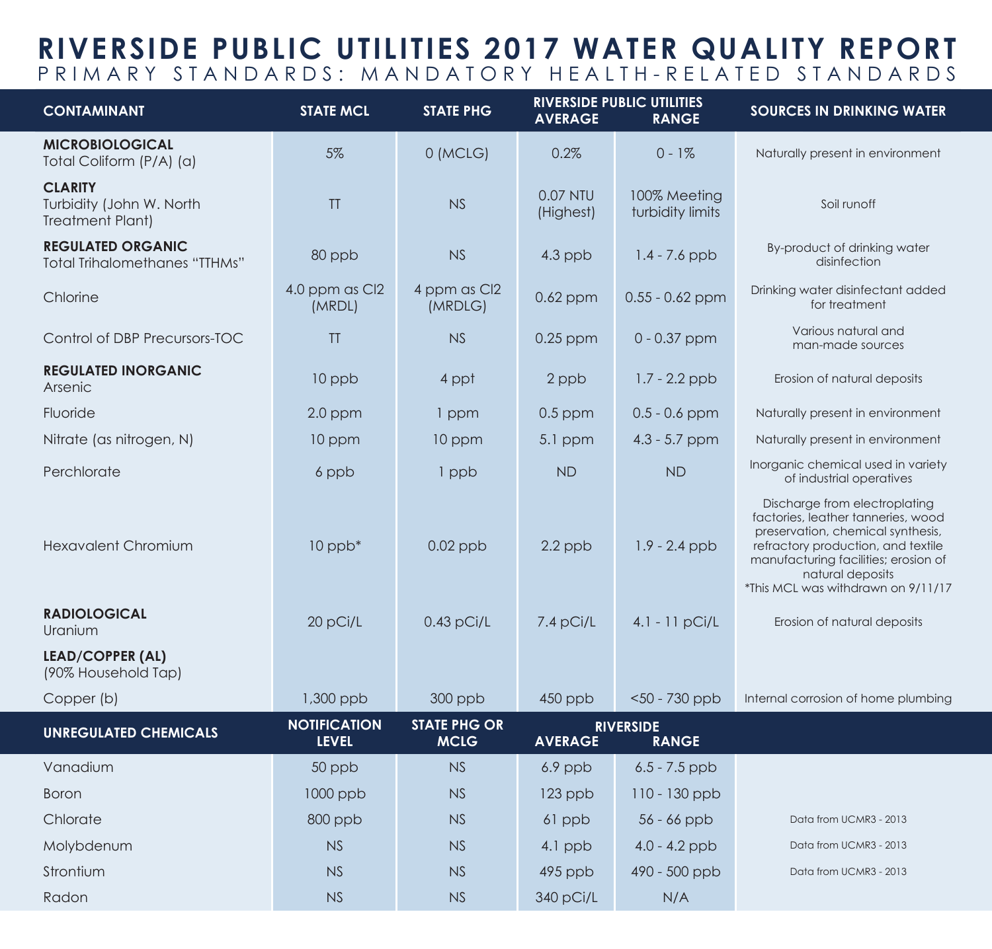## **RIVERSIDE PUBLIC UTILITIES 2017 WATER QUALITY REPORT** PRIMARY STANDARDS: MANDATORY HEALTH-RELATED STANDARDS

| <b>CONTAMINANT</b>                                                    | <b>STATE MCL</b>                    | <b>STATE PHG</b>                   | <b>RIVERSIDE PUBLIC UTILITIES</b><br><b>AVERAGE</b><br><b>RANGE</b> |                                  | <b>SOURCES IN DRINKING WATER</b>                                                                                                                                                                                                                 |
|-----------------------------------------------------------------------|-------------------------------------|------------------------------------|---------------------------------------------------------------------|----------------------------------|--------------------------------------------------------------------------------------------------------------------------------------------------------------------------------------------------------------------------------------------------|
| <b>MICROBIOLOGICAL</b><br>Total Coliform (P/A) (a)                    | 5%                                  | 0 (MCLG)                           | 0.2%                                                                | $0 - 1\%$                        | Naturally present in environment                                                                                                                                                                                                                 |
| <b>CLARITY</b><br>Turbidity (John W. North<br><b>Treatment Plant)</b> | TT                                  | NS                                 | 0.07 NTU<br>(Highest)                                               | 100% Meeting<br>turbidity limits | Soil runoff                                                                                                                                                                                                                                      |
| <b>REGULATED ORGANIC</b><br><b>Total Trihalomethanes "TTHMs"</b>      | 80 ppb                              | <b>NS</b>                          | $4.3$ ppb                                                           | $1.4 - 7.6$ ppb                  | By-product of drinking water<br>disinfection                                                                                                                                                                                                     |
| Chlorine                                                              | 4.0 ppm as Cl2<br>(MRDL)            | 4 ppm as Cl2<br>(MRDLG)            | $0.62$ ppm                                                          | $0.55 - 0.62$ ppm                | Drinking water disinfectant added<br>for treatment                                                                                                                                                                                               |
| Control of DBP Precursors-TOC                                         | TT                                  | NS                                 | $0.25$ ppm                                                          | $0 - 0.37$ ppm                   | Various natural and<br>man-made sources                                                                                                                                                                                                          |
| <b>REGULATED INORGANIC</b><br>Arsenic                                 | 10 ppb                              | 4 ppt                              | 2 ppb                                                               | $1.7 - 2.2$ ppb                  | Erosion of natural deposits                                                                                                                                                                                                                      |
| Fluoride                                                              | $2.0$ ppm                           | 1 ppm                              | $0.5$ ppm                                                           | $0.5 - 0.6$ ppm                  | Naturally present in environment                                                                                                                                                                                                                 |
| Nitrate (as nitrogen, N)                                              | 10 ppm                              | 10 ppm                             | $5.1$ ppm                                                           | $4.3 - 5.7$ ppm                  | Naturally present in environment                                                                                                                                                                                                                 |
| Perchlorate                                                           | 6 ppb                               | 1 ppb                              | <b>ND</b>                                                           | <b>ND</b>                        | Inorganic chemical used in variety<br>of industrial operatives                                                                                                                                                                                   |
| <b>Hexavalent Chromium</b>                                            | $10$ ppb $*$                        | $0.02$ ppb                         | $2.2$ ppb                                                           | $1.9 - 2.4$ ppb                  | Discharge from electroplating<br>factories, leather tanneries, wood<br>preservation, chemical synthesis,<br>refractory production, and textile<br>manufacturing facilities; erosion of<br>natural deposits<br>*This MCL was withdrawn on 9/11/17 |
| <b>RADIOLOGICAL</b><br>Uranium                                        | 20 pCi/L                            | $0.43$ pCi/L                       | 7.4 pCi/L                                                           | $4.1 - 11 pCi/L$                 | Erosion of natural deposits                                                                                                                                                                                                                      |
| <b>LEAD/COPPER (AL)</b><br>(90% Household Tap)                        |                                     |                                    |                                                                     |                                  |                                                                                                                                                                                                                                                  |
| Copper (b)                                                            | 1,300 ppb                           | 300 ppb                            | 450 ppb                                                             | $<$ 50 - 730 ppb                 | Internal corrosion of home plumbing                                                                                                                                                                                                              |
| <b>UNREGULATED CHEMICALS</b>                                          | <b>NOTIFICATION</b><br><b>LEVEL</b> | <b>STATE PHG OR</b><br><b>MCLG</b> | <b>AVERAGE</b>                                                      | <b>RIVERSIDE</b><br><b>RANGE</b> |                                                                                                                                                                                                                                                  |
| Vanadium                                                              | 50 ppb                              | <b>NS</b>                          | 6.9 ppb                                                             | $6.5 - 7.5$ ppb                  |                                                                                                                                                                                                                                                  |
| Boron                                                                 | 1000 ppb                            | NS                                 | 123 ppb                                                             | 110 - 130 ppb                    |                                                                                                                                                                                                                                                  |
| Chlorate                                                              | $800$ ppb                           | NS                                 | 61 ppb                                                              | $56 - 66$ ppb                    | Data from UCMR3 - 2013                                                                                                                                                                                                                           |
| Molybdenum                                                            | NS                                  | NS                                 | 4.1 ppb                                                             | $4.0 - 4.2$ ppb                  | Data from UCMR3 - 2013                                                                                                                                                                                                                           |
| Strontium                                                             | NS                                  | NS                                 | $495$ ppb                                                           | 490 - 500 ppb                    | Data from UCMR3 - 2013                                                                                                                                                                                                                           |
| Radon                                                                 | NS                                  | NS                                 | 340 pCi/L                                                           | N/A                              |                                                                                                                                                                                                                                                  |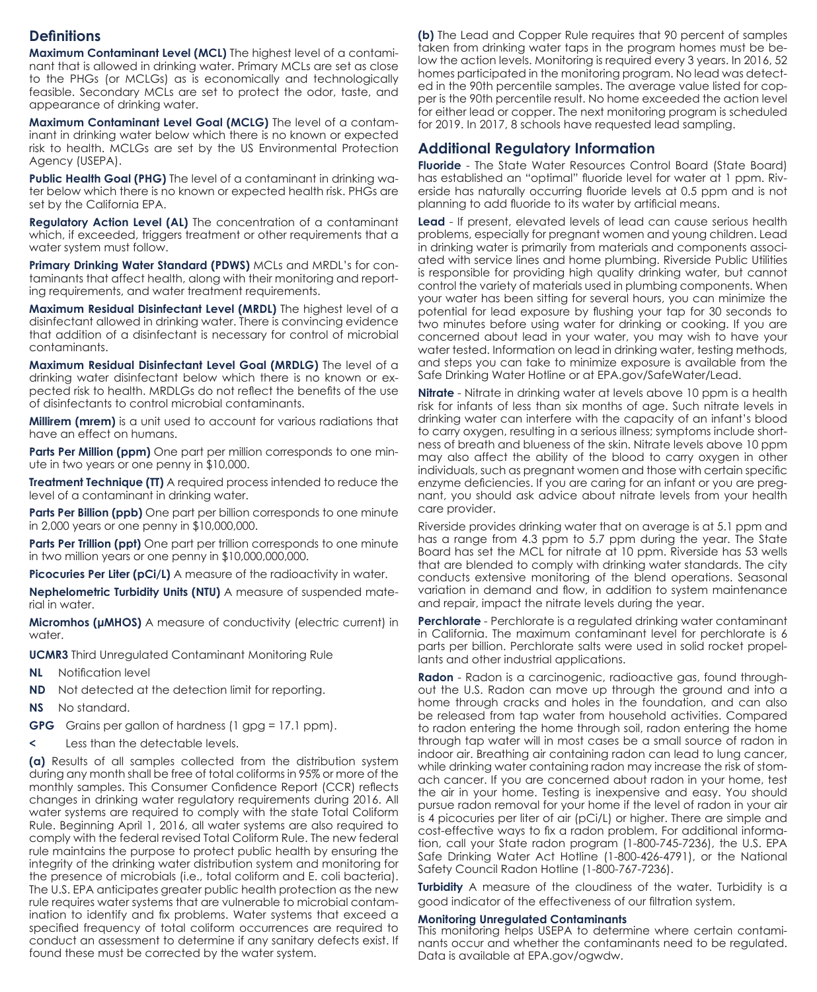#### **Definitions**

**Maximum Contaminant Level (MCL)** The highest level of a contaminant that is allowed in drinking water. Primary MCLs are set as close to the PHGs (or MCLGs) as is economically and technologically feasible. Secondary MCLs are set to protect the odor, taste, and appearance of drinking water.

**Maximum Contaminant Level Goal (MCLG)** The level of a contaminant in drinking water below which there is no known or expected risk to health. MCLGs are set by the US Environmental Protection Agency (USEPA).

**Public Health Goal (PHG)** The level of a contaminant in drinking water below which there is no known or expected health risk. PHGs are set by the California EPA.

**Regulatory Action Level (AL)** The concentration of a contaminant which, if exceeded, triggers treatment or other requirements that a water system must follow.

**Primary Drinking Water Standard (PDWS)** MCLs and MRDL's for contaminants that affect health, along with their monitoring and reporting requirements, and water treatment requirements.

**Maximum Residual Disinfectant Level (MRDL)** The highest level of a disinfectant allowed in drinking water. There is convincing evidence that addition of a disinfectant is necessary for control of microbial contaminants.

**Maximum Residual Disinfectant Level Goal (MRDLG)** The level of a drinking water disinfectant below which there is no known or expected risk to health. MRDLGs do not reflect the benefits of the use of disinfectants to control microbial contaminants.

**Millirem (mrem)** is a unit used to account for various radiations that have an effect on humans.

Parts Per Million (ppm) One part per million corresponds to one minute in two years or one penny in \$10,000.

**Treatment Technique (TT)** A required process intended to reduce the level of a contaminant in drinking water.

**Parts Per Billion (ppb)** One part per billion corresponds to one minute in 2,000 years or one penny in \$10,000,000.

**Parts Per Trillion (ppt)** One part per trillion corresponds to one minute in two million years or one penny in \$10,000,000,000.

**Picocuries Per Liter (pCi/L)** A measure of the radioactivity in water.

**Nephelometric Turbidity Units (NTU)** A measure of suspended material in water.

**Micromhos (µMHOS)** A measure of conductivity (electric current) in water.

**UCMR3** Third Unregulated Contaminant Monitoring Rule

- **NL** Notification level
- **ND** Not detected at the detection limit for reporting.
- **NS** No standard.
- **GPG** Grains per gallon of hardness (1 gpg = 17.1 ppm).
- Less than the detectable levels.

**(a)** Results of all samples collected from the distribution system during any month shall be free of total coliforms in 95% or more of the monthly samples. This Consumer Confidence Report (CCR) reflects changes in drinking water regulatory requirements during 2016. All water systems are required to comply with the state Total Coliform Rule. Beginning April 1, 2016, all water systems are also required to comply with the federal revised Total Coliform Rule. The new federal rule maintains the purpose to protect public health by ensuring the integrity of the drinking water distribution system and monitoring for the presence of microbials (i.e., total coliform and E. coli bacteria). The U.S. EPA anticipates greater public health protection as the new rule requires water systems that are vulnerable to microbial contamination to identify and fix problems. Water systems that exceed a specified frequency of total coliform occurrences are required to conduct an assessment to determine if any sanitary defects exist. If found these must be corrected by the water system.

**(b)** The Lead and Copper Rule requires that 90 percent of samples taken from drinking water taps in the program homes must be below the action levels. Monitoring is required every 3 years. In 2016, 52 homes participated in the monitoring program. No lead was detected in the 90th percentile samples. The average value listed for copper is the 90th percentile result. No home exceeded the action level for either lead or copper. The next monitoring program is scheduled for 2019. In 2017, 8 schools have requested lead sampling.

#### **Additional Regulatory Information**

**Fluoride** - The State Water Resources Control Board (State Board) has established an "optimal" fluoride level for water at 1 ppm. Riverside has naturally occurring fluoride levels at 0.5 ppm and is not planning to add fluoride to its water by artificial means.

**Lead** - If present, elevated levels of lead can cause serious health problems, especially for pregnant women and young children. Lead in drinking water is primarily from materials and components associated with service lines and home plumbing. Riverside Public Utilities is responsible for providing high quality drinking water, but cannot control the variety of materials used in plumbing components. When your water has been sitting for several hours, you can minimize the potential for lead exposure by flushing your tap for 30 seconds to two minutes before using water for drinking or cooking. If you are concerned about lead in your water, you may wish to have your water tested. Information on lead in drinking water, testing methods, and steps you can take to minimize exposure is available from the Safe Drinking Water Hotline or at EPA.gov/SafeWater/Lead.

**Nitrate** - Nitrate in drinking water at levels above 10 ppm is a health risk for infants of less than six months of age. Such nitrate levels in drinking water can interfere with the capacity of an infant's blood to carry oxygen, resulting in a serious illness; symptoms include shortness of breath and blueness of the skin. Nitrate levels above 10 ppm may also affect the ability of the blood to carry oxygen in other individuals, such as pregnant women and those with certain specific enzyme deficiencies. If you are caring for an infant or you are pregnant, you should ask advice about nitrate levels from your health care provider.

Riverside provides drinking water that on average is at 5.1 ppm and has a range from 4.3 ppm to 5.7 ppm during the year. The State Board has set the MCL for nitrate at 10 ppm. Riverside has 53 wells that are blended to comply with drinking water standards. The city conducts extensive monitoring of the blend operations. Seasonal variation in demand and flow, in addition to system maintenance and repair, impact the nitrate levels during the year.

**Perchlorate** - Perchlorate is a regulated drinking water contaminant in California. The maximum contaminant level for perchlorate is 6 parts per billion. Perchlorate salts were used in solid rocket propellants and other industrial applications.

**Radon** - Radon is a carcinogenic, radioactive gas, found throughout the U.S. Radon can move up through the ground and into a home through cracks and holes in the foundation, and can also be released from tap water from household activities. Compared to radon entering the home through soil, radon entering the home through tap water will in most cases be a small source of radon in indoor air. Breathing air containing radon can lead to lung cancer, while drinking water containing radon may increase the risk of stomach cancer. If you are concerned about radon in your home, test the air in your home. Testing is inexpensive and easy. You should pursue radon removal for your home if the level of radon in your air is 4 picocuries per liter of air (pCi/L) or higher. There are simple and cost-effective ways to fix a radon problem. For additional information, call your State radon program (1-800-745-7236), the U.S. EPA Safe Drinking Water Act Hotline (1-800-426-4791), or the National Safety Council Radon Hotline (1-800-767-7236).

**Turbidity** A measure of the cloudiness of the water. Turbidity is a good indicator of the effectiveness of our filtration system.

#### **Monitoring Unregulated Contaminants**

This monitoring helps USEPA to determine where certain contaminants occur and whether the contaminants need to be regulated. Data is available at EPA.gov/ogwdw.